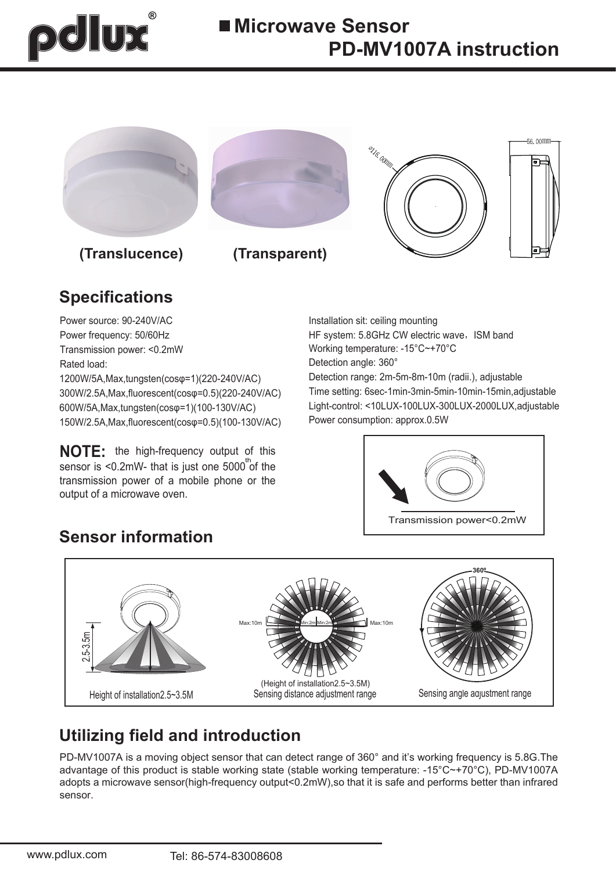# pdlux



### **Specifications**

Power source: 90-240V/AC Power frequency: 50/60Hz Transmission power: <0.2mW Rated load: Rated load: Rated load: Rated load: Rated load: Reserve Load Rated Load Processes and Detection angle: 360°

1200W/5A,Max,tungsten(cosφ=1)(220-240V/AC) 300W/2.5A,Max,fluorescent(cosφ=0.5)(220-240V/AC) 600W/5A,Max,tungsten(cosφ=1)(100-130V/AC) 150W/2.5A,Max,fluorescent(cosφ=0.5)(100-130V/AC)

**NOTE:** the high-frequency output of this sensor is <0.2mW- that is just one  $5000^{\text{th}}$  of the transmission power of a mobile phone or the output of a microwave oven.

**Sensor information**

Detection range: 2m-5m-8m-10m (radii.), adjustable Time setting: 6sec-1min-3min-5min-10min-15min,adjustable Light-control: <10LUX-100LUX-300LUX-2000LUX,adjustable Power consumption: approx.0.5W Working temperature: -15°C~+70°C Installation sit: ceiling mounting HF system: 5.8GHz CW electric wave, ISM band



## Height of installation 2.5~3.5M Sensing distance adjustment range Sensing angle adjustment range (Height of installation2.5~3.5M) **360º** Max:10m Min:2m Min:2m Min:2m Min:2m Min:2m Max:10m 2.5-3.5m Sensing distance adjustment range

### **Utilizing field and introduction**

PD-MV1007A is a moving object sensor that can detect range of 360° and it's working frequency is 5.8G.The advantage of this product is stable working state (stable working temperature: -15°C~+70°C), PD-MV1007A adopts a microwave sensor(high-frequency output<0.2mW),so that it is safe and performs better than infrared sensor.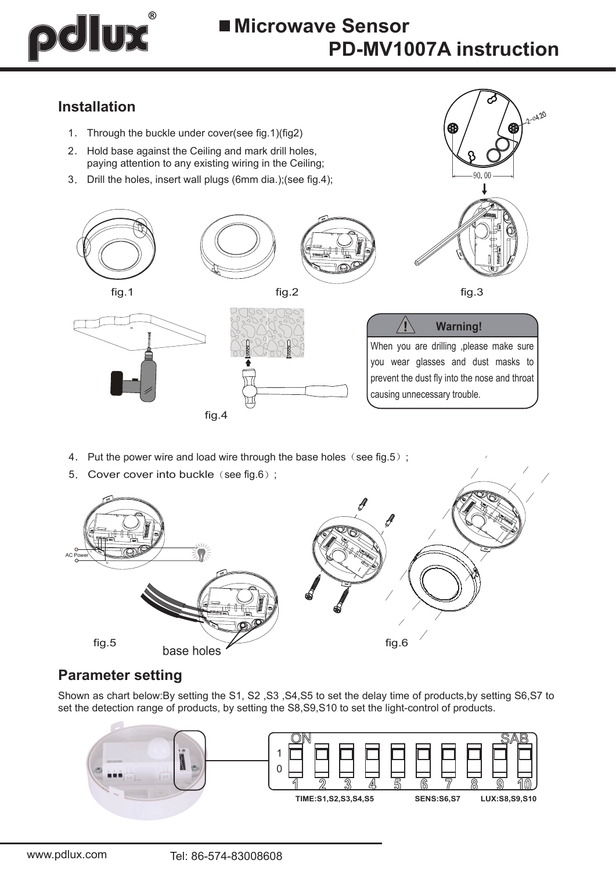# pdlux

20,20

 $90.00$ 

#### **Installation**

- 1. Through the buckle under cover(see fig.1)(fig2)
- 2. Hold base against the Ceiling and mark drill holes, paying attention to any existing wiring in the Ceiling;
- 3. Drill the holes, insert wall plugs (6mm dia.);(see fig.4);



- 4. Put the power wire and load wire through the base holes (see fig.5);
- 5. Cover cover into buckle (see fig.6);



#### **Parameter setting**

Shown as chart below:By setting the S1, S2 ,S3 ,S4,S5 to set the delay time of products,by setting S6,S7 to set the detection range of products, by setting the S8,S9,S10 to set the light-control of products.

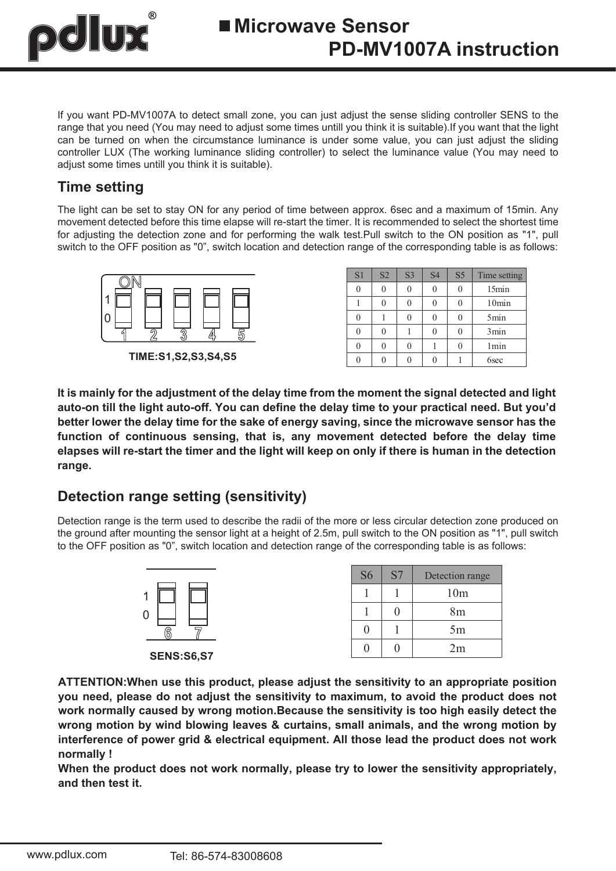

If you want PD-MV1007A to detect small zone, you can just adjust the sense sliding controller SENS to the range that you need (You may need to adjust some times untill you think it is suitable).If you want that the light can be turned on when the circumstance luminance is under some value, you can just adjust the sliding controller LUX (The working luminance sliding controller) to select the luminance value (You may need to adjust some times untill you think it is suitable).

#### **Time setting**

The light can be set to stay ON for any period of time between approx. 6sec and a maximum of 15min. Any movement detected before this time elapse will re-start the timer. It is recommended to select the shortest time for adjusting the detection zone and for performing the walk test.Pull switch to the ON position as "1", pull switch to the OFF position as "0", switch location and detection range of the corresponding table is as follows:



**TIME:S1,S2,S3,S4,S5**

| S1 | S <sub>2</sub> | S <sub>3</sub> | <b>S4</b> | S <sub>5</sub> | Time setting     |
|----|----------------|----------------|-----------|----------------|------------------|
|    |                |                |           |                | 15min            |
|    |                |                |           |                | 10min            |
|    |                |                |           |                | 5min             |
|    |                |                |           |                | 3min             |
|    |                |                |           |                | 1 <sub>min</sub> |
|    |                |                |           |                | 6sec             |

**It is mainly for the adjustment of the delay time from the moment the signal detected and light auto-on till the light auto-off. You can define the delay time to your practical need. But you'd better lower the delay time for the sake of energy saving, since the microwave sensor has the function of continuous sensing, that is, any movement detected before the delay time elapses will re-start the timer and the light will keep on only if there is human in the detection range.**

#### **Detection range setting (sensitivity)**

Detection range is the term used to describe the radii of the more or less circular detection zone produced on the ground after mounting the sensor light at a height of 2.5m, pull switch to the ON position as "1", pull switch to the OFF position as "0", switch location and detection range of the corresponding table is as follows:



| S <sub>6</sub> | S7 | Detection range |
|----------------|----|-----------------|
|                |    | 10 <sub>m</sub> |
|                |    | 8 <sub>m</sub>  |
|                |    | 5m              |
|                |    | 2m              |

**ATTENTION:When use this product, please adjust the sensitivity to an appropriate position you need, please do not adjust the sensitivity to maximum, to avoid the product does not work normally caused by wrong motion.Because the sensitivity is too high easily detect the wrong motion by wind blowing leaves & curtains, small animals, and the wrong motion by interference of power grid & electrical equipment. All those lead the product does not work normally !**

**When the product does not work normally, please try to lower the sensitivity appropriately, and then test it.**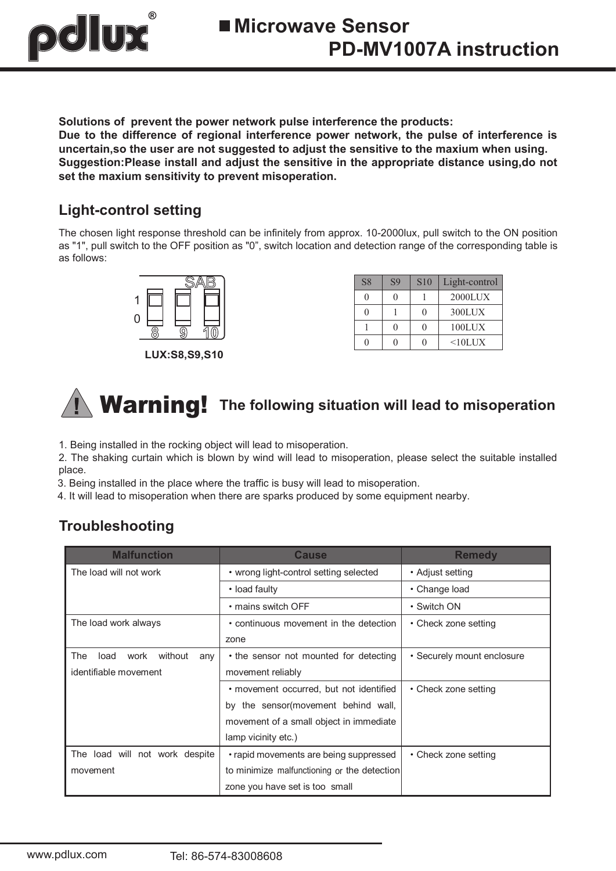

**Solutions of prevent the power network pulse interference the products: Due to the difference of regional interference power network, the pulse of interference is uncertain,so the user are not suggested to adjust the sensitive to the maxium when using. Suggestion:Please install and adjust the sensitive in the appropriate distance using,do not set the maxium sensitivity to prevent misoperation.**

#### **Light-control setting**

The chosen light response threshold can be infinitely from approx. 10-2000lux, pull switch to the ON position as "1", pull switch to the OFF position as "0", switch location and detection range of the corresponding table is as follows:



**LUX:S8,S9,S10**

| S <sub>8</sub> | <b>S9</b> | <b>S10</b> | Light-control |
|----------------|-----------|------------|---------------|
|                |           |            | $2000$ LUX    |
|                |           |            | 300LUX        |
|                |           |            | 100LUX        |
|                |           |            | $<10$ LUX     |

# Warning! **The following situation will lead to misoperation**

1. Being installed in the rocking object will lead to misoperation.

2. The shaking curtain which is blown by wind will lead to misoperation, please select the suitable installed place.

3. Being installed in the place where the traffic is busy will lead to misoperation.

4. It will lead to misoperation when there are sparks produced by some equipment nearby.

#### **Troubleshooting**

| <b>Malfunction</b>                    | <b>Cause</b>                                | <b>Remedy</b>              |
|---------------------------------------|---------------------------------------------|----------------------------|
| The load will not work                | • wrong light-control setting selected      | • Adjust setting           |
|                                       | • load faulty                               | • Change load              |
|                                       | • mains switch OFF                          | • Switch ON                |
| The load work always                  | • continuous movement in the detection      | • Check zone setting       |
|                                       | zone                                        |                            |
| without<br>The<br>load<br>work<br>any | • the sensor not mounted for detecting      | • Securely mount enclosure |
| identifiable movement                 | movement reliably                           |                            |
|                                       | • movement occurred, but not identified     | • Check zone setting       |
|                                       | by the sensor (movement behind wall,        |                            |
|                                       | movement of a small object in immediate     |                            |
|                                       | lamp vicinity etc.)                         |                            |
| The load will not work despite        | • rapid movements are being suppressed      | • Check zone setting       |
| movement                              | to minimize malfunctioning or the detection |                            |
|                                       | zone you have set is too small              |                            |